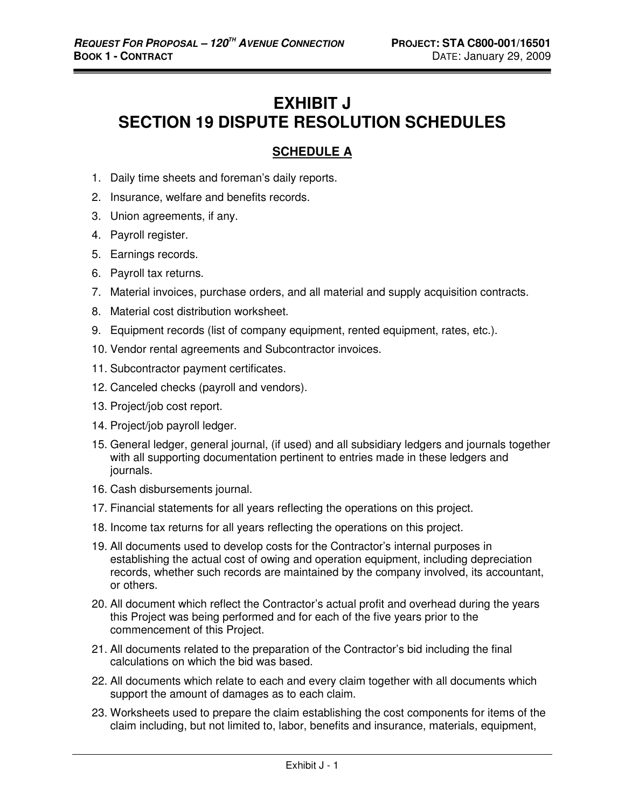# **EXHIBIT J SECTION 19 DISPUTE RESOLUTION SCHEDULES**

## **SCHEDULE A**

- 1. Daily time sheets and foreman's daily reports.
- 2. Insurance, welfare and benefits records.
- 3. Union agreements, if any.
- 4. Payroll register.
- 5. Earnings records.
- 6. Payroll tax returns.
- 7. Material invoices, purchase orders, and all material and supply acquisition contracts.
- 8. Material cost distribution worksheet.
- 9. Equipment records (list of company equipment, rented equipment, rates, etc.).
- 10. Vendor rental agreements and Subcontractor invoices.
- 11. Subcontractor payment certificates.
- 12. Canceled checks (payroll and vendors).
- 13. Project/job cost report.
- 14. Project/job payroll ledger.
- 15. General ledger, general journal, (if used) and all subsidiary ledgers and journals together with all supporting documentation pertinent to entries made in these ledgers and journals.
- 16. Cash disbursements journal.
- 17. Financial statements for all years reflecting the operations on this project.
- 18. Income tax returns for all years reflecting the operations on this project.
- 19. All documents used to develop costs for the Contractor's internal purposes in establishing the actual cost of owing and operation equipment, including depreciation records, whether such records are maintained by the company involved, its accountant, or others.
- 20. All document which reflect the Contractor's actual profit and overhead during the years this Project was being performed and for each of the five years prior to the commencement of this Project.
- 21. All documents related to the preparation of the Contractor's bid including the final calculations on which the bid was based.
- 22. All documents which relate to each and every claim together with all documents which support the amount of damages as to each claim.
- 23. Worksheets used to prepare the claim establishing the cost components for items of the claim including, but not limited to, labor, benefits and insurance, materials, equipment,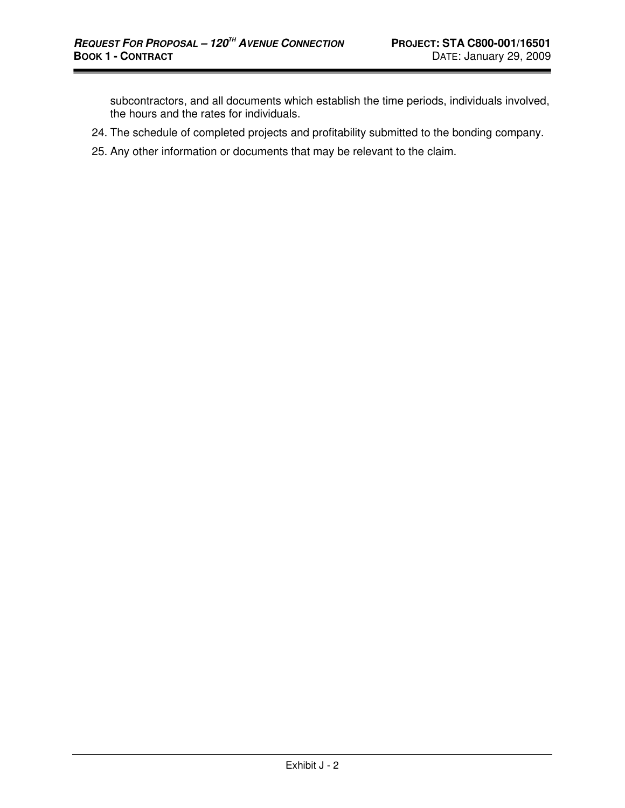subcontractors, and all documents which establish the time periods, individuals involved, the hours and the rates for individuals.

- 24. The schedule of completed projects and profitability submitted to the bonding company.
- 25. Any other information or documents that may be relevant to the claim.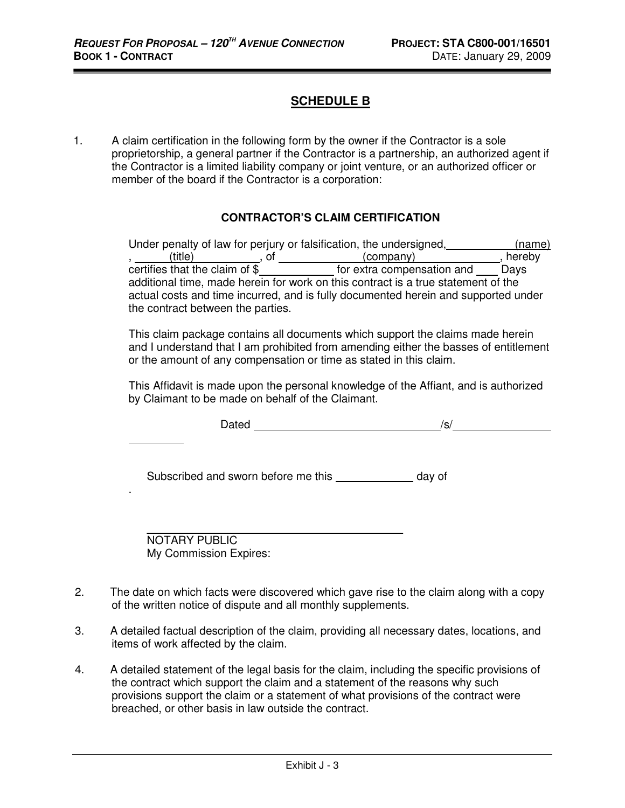## **SCHEDULE B**

1. A claim certification in the following form by the owner if the Contractor is a sole proprietorship, a general partner if the Contractor is a partnership, an authorized agent if the Contractor is a limited liability company or joint venture, or an authorized officer or member of the board if the Contractor is a corporation:

#### **CONTRACTOR'S CLAIM CERTIFICATION**

|                                   | Under penalty of law for perjury or falsification, the undersigned,                                                                                                     | (name) |
|-----------------------------------|-------------------------------------------------------------------------------------------------------------------------------------------------------------------------|--------|
| (title)                           | (company)                                                                                                                                                               | hereby |
| certifies that the claim of \$    | for extra compensation and                                                                                                                                              | Davs   |
| the contract between the parties. | additional time, made herein for work on this contract is a true statement of the<br>actual costs and time incurred, and is fully documented herein and supported under |        |

This claim package contains all documents which support the claims made herein and I understand that I am prohibited from amending either the basses of entitlement or the amount of any compensation or time as stated in this claim.

This Affidavit is made upon the personal knowledge of the Affiant, and is authorized by Claimant to be made on behalf of the Claimant.

| Dated                                          | /s/    |
|------------------------------------------------|--------|
| Subscribed and sworn before me this __________ | day of |
| NOTARY PUBLIC<br>My Commission Expires:        |        |

- 2. The date on which facts were discovered which gave rise to the claim along with a copy of the written notice of dispute and all monthly supplements.
- 3. A detailed factual description of the claim, providing all necessary dates, locations, and items of work affected by the claim.
- 4. A detailed statement of the legal basis for the claim, including the specific provisions of the contract which support the claim and a statement of the reasons why such provisions support the claim or a statement of what provisions of the contract were breached, or other basis in law outside the contract.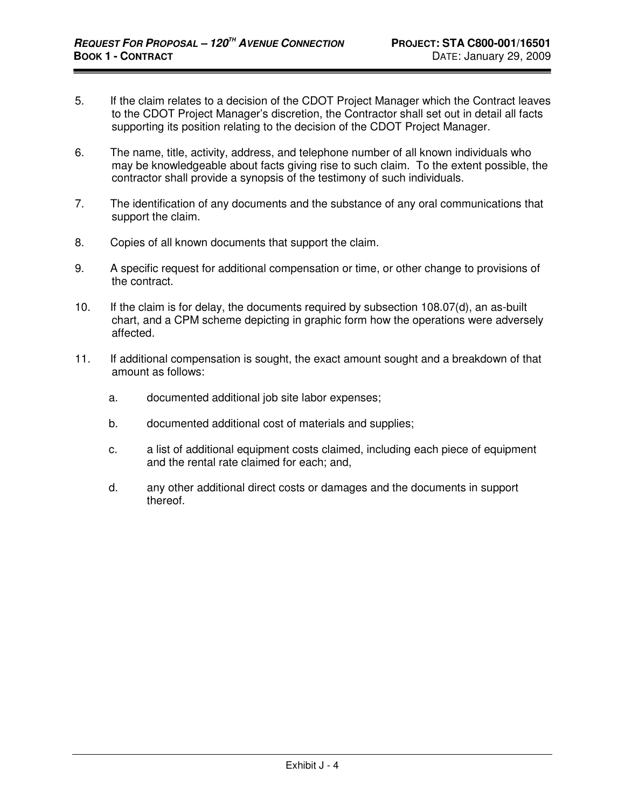- 5. If the claim relates to a decision of the CDOT Project Manager which the Contract leaves to the CDOT Project Manager's discretion, the Contractor shall set out in detail all facts supporting its position relating to the decision of the CDOT Project Manager.
- 6. The name, title, activity, address, and telephone number of all known individuals who may be knowledgeable about facts giving rise to such claim. To the extent possible, the contractor shall provide a synopsis of the testimony of such individuals.
- 7. The identification of any documents and the substance of any oral communications that support the claim.
- 8. Copies of all known documents that support the claim.
- 9. A specific request for additional compensation or time, or other change to provisions of the contract.
- 10. If the claim is for delay, the documents required by subsection 108.07(d), an as-built chart, and a CPM scheme depicting in graphic form how the operations were adversely affected.
- 11. If additional compensation is sought, the exact amount sought and a breakdown of that amount as follows:
	- a. documented additional job site labor expenses;
	- b. documented additional cost of materials and supplies;
	- c. a list of additional equipment costs claimed, including each piece of equipment and the rental rate claimed for each; and,
	- d. any other additional direct costs or damages and the documents in support thereof.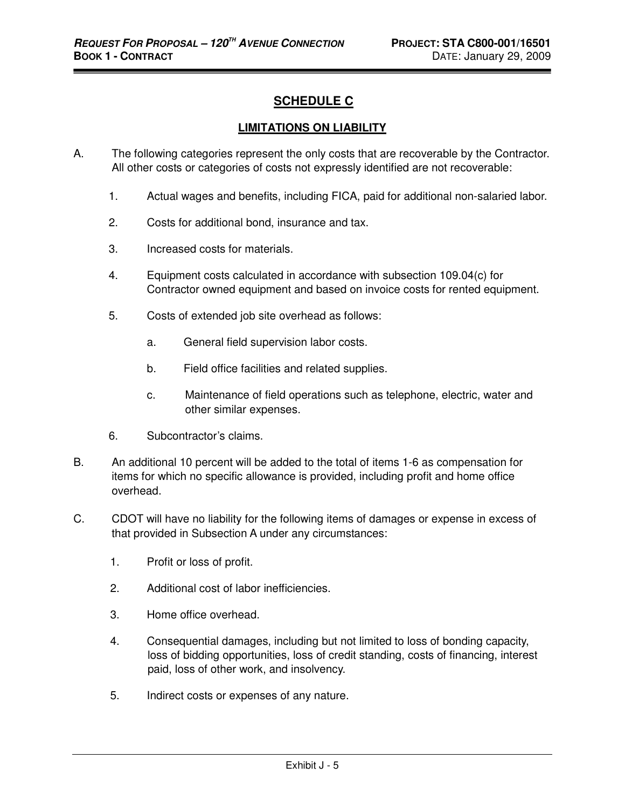## **SCHEDULE C**

#### **LIMITATIONS ON LIABILITY**

- A. The following categories represent the only costs that are recoverable by the Contractor. All other costs or categories of costs not expressly identified are not recoverable:
	- 1. Actual wages and benefits, including FICA, paid for additional non-salaried labor.
	- 2. Costs for additional bond, insurance and tax.
	- 3. Increased costs for materials.
	- 4. Equipment costs calculated in accordance with subsection 109.04(c) for Contractor owned equipment and based on invoice costs for rented equipment.
	- 5. Costs of extended job site overhead as follows:
		- a. General field supervision labor costs.
		- b. Field office facilities and related supplies.
		- c. Maintenance of field operations such as telephone, electric, water and other similar expenses.
	- 6. Subcontractor's claims.
- B. An additional 10 percent will be added to the total of items 1-6 as compensation for items for which no specific allowance is provided, including profit and home office overhead.
- C. CDOT will have no liability for the following items of damages or expense in excess of that provided in Subsection A under any circumstances:
	- 1. Profit or loss of profit.
	- 2. Additional cost of labor inefficiencies.
	- 3. Home office overhead.
	- 4. Consequential damages, including but not limited to loss of bonding capacity, loss of bidding opportunities, loss of credit standing, costs of financing, interest paid, loss of other work, and insolvency.
	- 5. Indirect costs or expenses of any nature.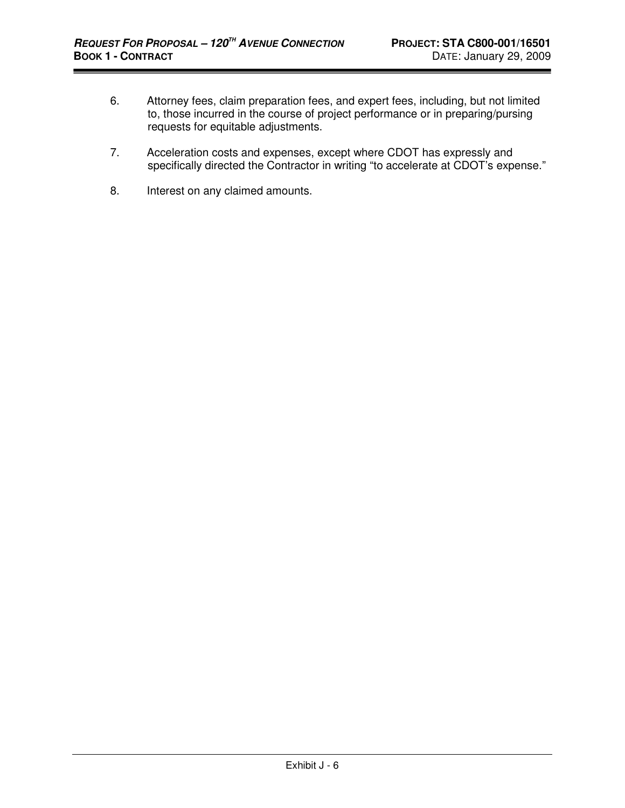- 6. Attorney fees, claim preparation fees, and expert fees, including, but not limited to, those incurred in the course of project performance or in preparing/pursing requests for equitable adjustments.
- 7. Acceleration costs and expenses, except where CDOT has expressly and specifically directed the Contractor in writing "to accelerate at CDOT's expense."
- 8. Interest on any claimed amounts.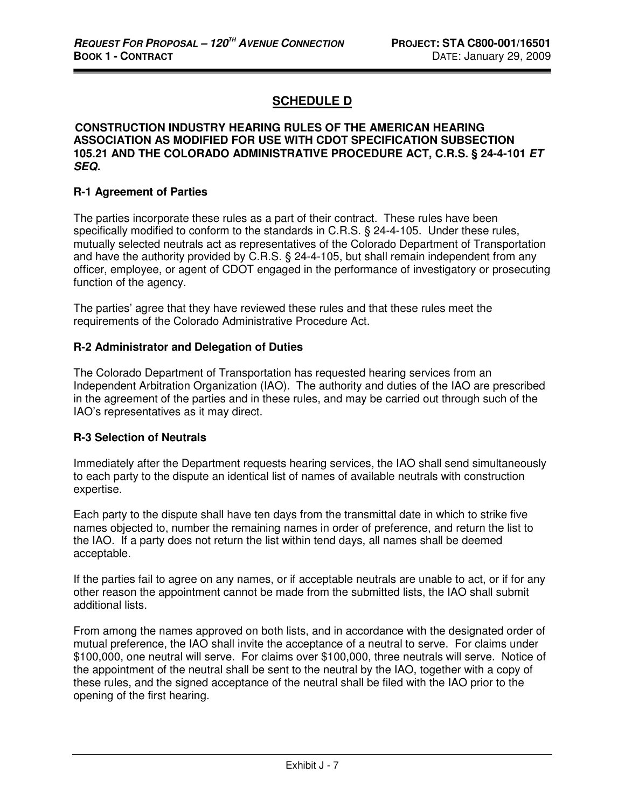# **SCHEDULE D**

#### **CONSTRUCTION INDUSTRY HEARING RULES OF THE AMERICAN HEARING ASSOCIATION AS MODIFIED FOR USE WITH CDOT SPECIFICATION SUBSECTION 105.21 AND THE COLORADO ADMINISTRATIVE PROCEDURE ACT, C.R.S. § 24-4-101 ET SEQ.**

#### **R-1 Agreement of Parties**

The parties incorporate these rules as a part of their contract. These rules have been specifically modified to conform to the standards in C.R.S. § 24-4-105. Under these rules, mutually selected neutrals act as representatives of the Colorado Department of Transportation and have the authority provided by C.R.S. § 24-4-105, but shall remain independent from any officer, employee, or agent of CDOT engaged in the performance of investigatory or prosecuting function of the agency.

The parties' agree that they have reviewed these rules and that these rules meet the requirements of the Colorado Administrative Procedure Act.

#### **R-2 Administrator and Delegation of Duties**

The Colorado Department of Transportation has requested hearing services from an Independent Arbitration Organization (IAO). The authority and duties of the IAO are prescribed in the agreement of the parties and in these rules, and may be carried out through such of the IAO's representatives as it may direct.

#### **R-3 Selection of Neutrals**

Immediately after the Department requests hearing services, the IAO shall send simultaneously to each party to the dispute an identical list of names of available neutrals with construction expertise.

Each party to the dispute shall have ten days from the transmittal date in which to strike five names objected to, number the remaining names in order of preference, and return the list to the IAO. If a party does not return the list within tend days, all names shall be deemed acceptable.

If the parties fail to agree on any names, or if acceptable neutrals are unable to act, or if for any other reason the appointment cannot be made from the submitted lists, the IAO shall submit additional lists.

From among the names approved on both lists, and in accordance with the designated order of mutual preference, the IAO shall invite the acceptance of a neutral to serve. For claims under \$100,000, one neutral will serve. For claims over \$100,000, three neutrals will serve. Notice of the appointment of the neutral shall be sent to the neutral by the IAO, together with a copy of these rules, and the signed acceptance of the neutral shall be filed with the IAO prior to the opening of the first hearing.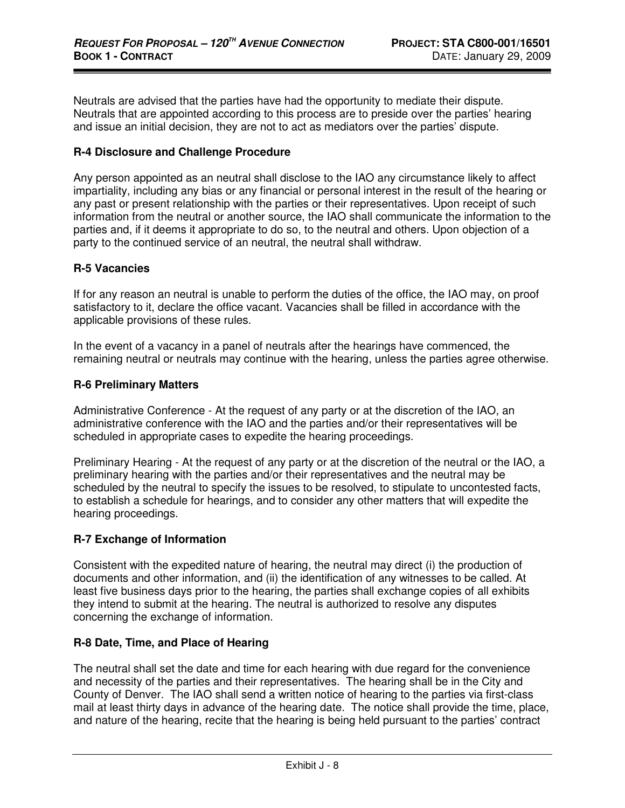Neutrals are advised that the parties have had the opportunity to mediate their dispute. Neutrals that are appointed according to this process are to preside over the parties' hearing and issue an initial decision, they are not to act as mediators over the parties' dispute.

#### **R-4 Disclosure and Challenge Procedure**

Any person appointed as an neutral shall disclose to the IAO any circumstance likely to affect impartiality, including any bias or any financial or personal interest in the result of the hearing or any past or present relationship with the parties or their representatives. Upon receipt of such information from the neutral or another source, the IAO shall communicate the information to the parties and, if it deems it appropriate to do so, to the neutral and others. Upon objection of a party to the continued service of an neutral, the neutral shall withdraw.

#### **R-5 Vacancies**

If for any reason an neutral is unable to perform the duties of the office, the IAO may, on proof satisfactory to it, declare the office vacant. Vacancies shall be filled in accordance with the applicable provisions of these rules.

In the event of a vacancy in a panel of neutrals after the hearings have commenced, the remaining neutral or neutrals may continue with the hearing, unless the parties agree otherwise.

#### **R-6 Preliminary Matters**

Administrative Conference - At the request of any party or at the discretion of the IAO, an administrative conference with the IAO and the parties and/or their representatives will be scheduled in appropriate cases to expedite the hearing proceedings.

Preliminary Hearing - At the request of any party or at the discretion of the neutral or the IAO, a preliminary hearing with the parties and/or their representatives and the neutral may be scheduled by the neutral to specify the issues to be resolved, to stipulate to uncontested facts, to establish a schedule for hearings, and to consider any other matters that will expedite the hearing proceedings.

#### **R-7 Exchange of Information**

Consistent with the expedited nature of hearing, the neutral may direct (i) the production of documents and other information, and (ii) the identification of any witnesses to be called. At least five business days prior to the hearing, the parties shall exchange copies of all exhibits they intend to submit at the hearing. The neutral is authorized to resolve any disputes concerning the exchange of information.

#### **R-8 Date, Time, and Place of Hearing**

The neutral shall set the date and time for each hearing with due regard for the convenience and necessity of the parties and their representatives. The hearing shall be in the City and County of Denver. The IAO shall send a written notice of hearing to the parties via first-class mail at least thirty days in advance of the hearing date. The notice shall provide the time, place, and nature of the hearing, recite that the hearing is being held pursuant to the parties' contract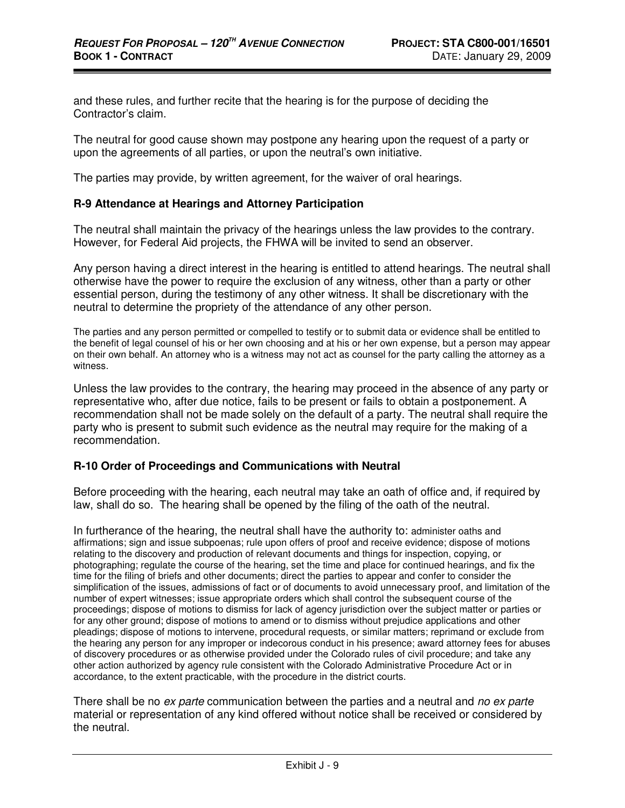and these rules, and further recite that the hearing is for the purpose of deciding the Contractor's claim.

The neutral for good cause shown may postpone any hearing upon the request of a party or upon the agreements of all parties, or upon the neutral's own initiative.

The parties may provide, by written agreement, for the waiver of oral hearings.

#### **R-9 Attendance at Hearings and Attorney Participation**

The neutral shall maintain the privacy of the hearings unless the law provides to the contrary. However, for Federal Aid projects, the FHWA will be invited to send an observer.

Any person having a direct interest in the hearing is entitled to attend hearings. The neutral shall otherwise have the power to require the exclusion of any witness, other than a party or other essential person, during the testimony of any other witness. It shall be discretionary with the neutral to determine the propriety of the attendance of any other person.

The parties and any person permitted or compelled to testify or to submit data or evidence shall be entitled to the benefit of legal counsel of his or her own choosing and at his or her own expense, but a person may appear on their own behalf. An attorney who is a witness may not act as counsel for the party calling the attorney as a witness.

Unless the law provides to the contrary, the hearing may proceed in the absence of any party or representative who, after due notice, fails to be present or fails to obtain a postponement. A recommendation shall not be made solely on the default of a party. The neutral shall require the party who is present to submit such evidence as the neutral may require for the making of a recommendation.

#### **R-10 Order of Proceedings and Communications with Neutral**

Before proceeding with the hearing, each neutral may take an oath of office and, if required by law, shall do so. The hearing shall be opened by the filing of the oath of the neutral.

In furtherance of the hearing, the neutral shall have the authority to: administer oaths and affirmations; sign and issue subpoenas; rule upon offers of proof and receive evidence; dispose of motions relating to the discovery and production of relevant documents and things for inspection, copying, or photographing; regulate the course of the hearing, set the time and place for continued hearings, and fix the time for the filing of briefs and other documents; direct the parties to appear and confer to consider the simplification of the issues, admissions of fact or of documents to avoid unnecessary proof, and limitation of the number of expert witnesses; issue appropriate orders which shall control the subsequent course of the proceedings; dispose of motions to dismiss for lack of agency jurisdiction over the subject matter or parties or for any other ground; dispose of motions to amend or to dismiss without prejudice applications and other pleadings; dispose of motions to intervene, procedural requests, or similar matters; reprimand or exclude from the hearing any person for any improper or indecorous conduct in his presence; award attorney fees for abuses of discovery procedures or as otherwise provided under the Colorado rules of civil procedure; and take any other action authorized by agency rule consistent with the Colorado Administrative Procedure Act or in accordance, to the extent practicable, with the procedure in the district courts.

There shall be no ex parte communication between the parties and a neutral and no ex parte material or representation of any kind offered without notice shall be received or considered by the neutral.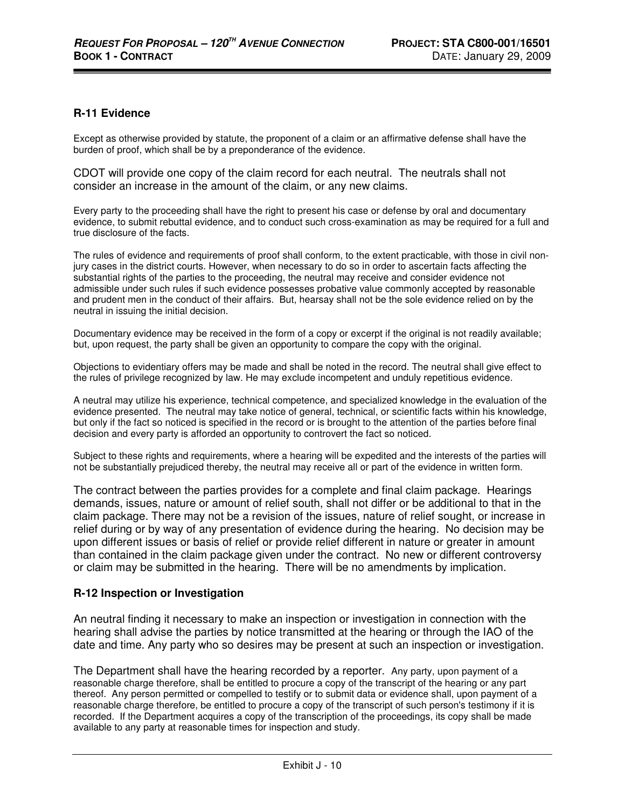#### **R-11 Evidence**

Except as otherwise provided by statute, the proponent of a claim or an affirmative defense shall have the burden of proof, which shall be by a preponderance of the evidence.

CDOT will provide one copy of the claim record for each neutral. The neutrals shall not consider an increase in the amount of the claim, or any new claims.

Every party to the proceeding shall have the right to present his case or defense by oral and documentary evidence, to submit rebuttal evidence, and to conduct such cross-examination as may be required for a full and true disclosure of the facts.

The rules of evidence and requirements of proof shall conform, to the extent practicable, with those in civil nonjury cases in the district courts. However, when necessary to do so in order to ascertain facts affecting the substantial rights of the parties to the proceeding, the neutral may receive and consider evidence not admissible under such rules if such evidence possesses probative value commonly accepted by reasonable and prudent men in the conduct of their affairs. But, hearsay shall not be the sole evidence relied on by the neutral in issuing the initial decision.

Documentary evidence may be received in the form of a copy or excerpt if the original is not readily available; but, upon request, the party shall be given an opportunity to compare the copy with the original.

Objections to evidentiary offers may be made and shall be noted in the record. The neutral shall give effect to the rules of privilege recognized by law. He may exclude incompetent and unduly repetitious evidence.

A neutral may utilize his experience, technical competence, and specialized knowledge in the evaluation of the evidence presented. The neutral may take notice of general, technical, or scientific facts within his knowledge, but only if the fact so noticed is specified in the record or is brought to the attention of the parties before final decision and every party is afforded an opportunity to controvert the fact so noticed.

Subject to these rights and requirements, where a hearing will be expedited and the interests of the parties will not be substantially prejudiced thereby, the neutral may receive all or part of the evidence in written form.

The contract between the parties provides for a complete and final claim package. Hearings demands, issues, nature or amount of relief south, shall not differ or be additional to that in the claim package. There may not be a revision of the issues, nature of relief sought, or increase in relief during or by way of any presentation of evidence during the hearing. No decision may be upon different issues or basis of relief or provide relief different in nature or greater in amount than contained in the claim package given under the contract. No new or different controversy or claim may be submitted in the hearing. There will be no amendments by implication.

#### **R-12 Inspection or Investigation**

An neutral finding it necessary to make an inspection or investigation in connection with the hearing shall advise the parties by notice transmitted at the hearing or through the IAO of the date and time. Any party who so desires may be present at such an inspection or investigation.

The Department shall have the hearing recorded by a reporter. Any party, upon payment of a reasonable charge therefore, shall be entitled to procure a copy of the transcript of the hearing or any part thereof. Any person permitted or compelled to testify or to submit data or evidence shall, upon payment of a reasonable charge therefore, be entitled to procure a copy of the transcript of such person's testimony if it is recorded. If the Department acquires a copy of the transcription of the proceedings, its copy shall be made available to any party at reasonable times for inspection and study.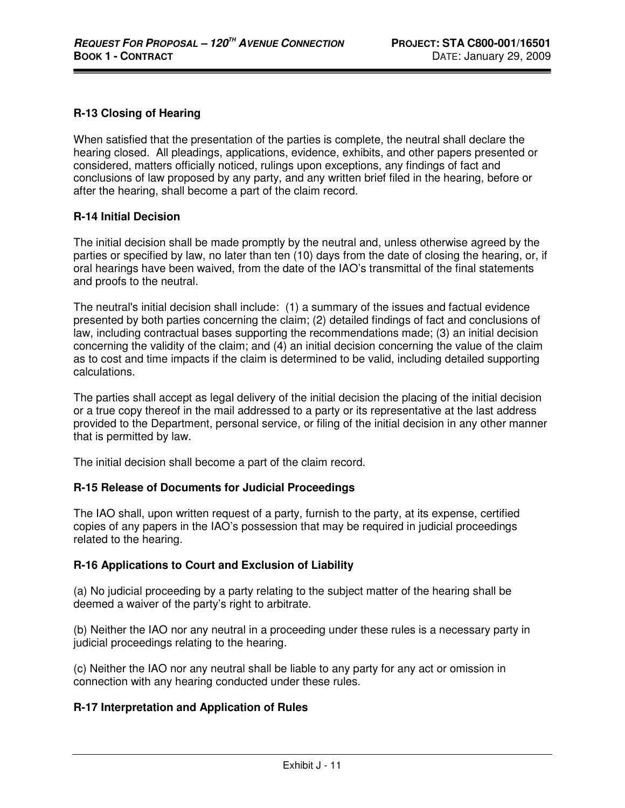### **R-13 Closing of Hearing**

When satisfied that the presentation of the parties is complete, the neutral shall declare the hearing closed. All pleadings, applications, evidence, exhibits, and other papers presented or considered, matters officially noticed, rulings upon exceptions, any findings of fact and conclusions of law proposed by any party, and any written brief filed in the hearing, before or after the hearing, shall become a part of the claim record.

#### **R-14 Initial Decision**

The initial decision shall be made promptly by the neutral and, unless otherwise agreed by the parties or specified by law, no later than ten (10) days from the date of closing the hearing, or, if oral hearings have been waived, from the date of the IAO's transmittal of the final statements and proofs to the neutral.

The neutral's initial decision shall include: (1) a summary of the issues and factual evidence presented by both parties concerning the claim; (2) detailed findings of fact and conclusions of law, including contractual bases supporting the recommendations made; (3) an initial decision concerning the validity of the claim; and (4) an initial decision concerning the value of the claim as to cost and time impacts if the claim is determined to be valid, including detailed supporting calculations.

The parties shall accept as legal delivery of the initial decision the placing of the initial decision or a true copy thereof in the mail addressed to a party or its representative at the last address provided to the Department, personal service, or filing of the initial decision in any other manner that is permitted by law.

The initial decision shall become a part of the claim record.

#### **R-15 Release of Documents for Judicial Proceedings**

The IAO shall, upon written request of a party, furnish to the party, at its expense, certified copies of any papers in the IAO's possession that may be required in judicial proceedings related to the hearing.

#### **R-16 Applications to Court and Exclusion of Liability**

(a) No judicial proceeding by a party relating to the subject matter of the hearing shall be deemed a waiver of the party's right to arbitrate.

(b) Neither the IAO nor any neutral in a proceeding under these rules is a necessary party in judicial proceedings relating to the hearing.

(c) Neither the IAO nor any neutral shall be liable to any party for any act or omission in connection with any hearing conducted under these rules.

#### **R-17 Interpretation and Application of Rules**